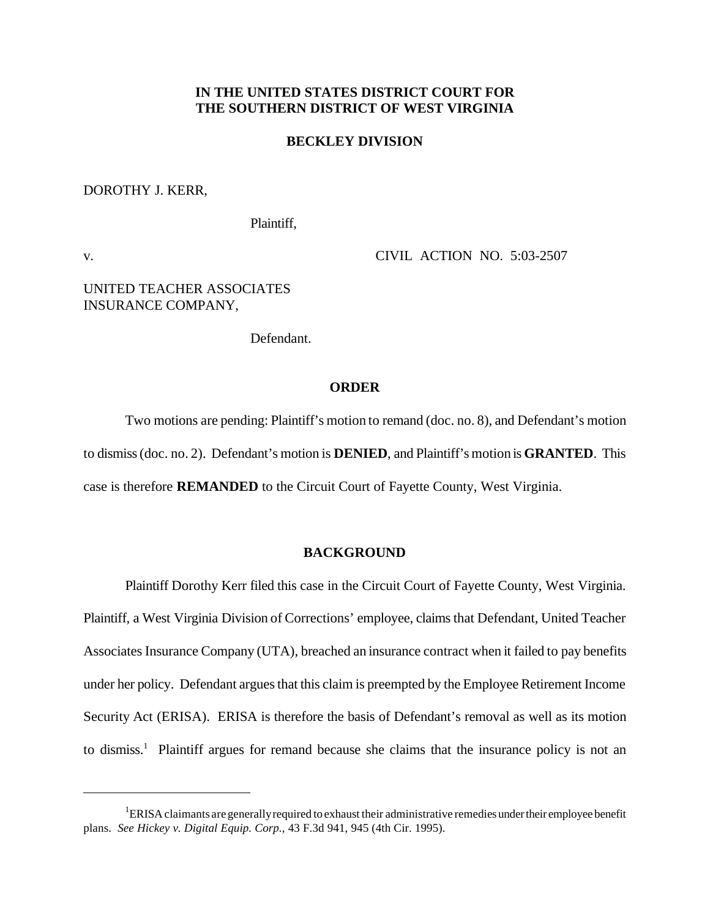# **IN THE UNITED STATES DISTRICT COURT FOR THE SOUTHERN DISTRICT OF WEST VIRGINIA**

### **BECKLEY DIVISION**

#### DOROTHY J. KERR,

Plaintiff,

v. CIVIL ACTION NO. 5:03-2507

# UNITED TEACHER ASSOCIATES INSURANCE COMPANY,

Defendant.

### **ORDER**

Two motions are pending: Plaintiff's motion to remand (doc. no. 8), and Defendant's motion to dismiss(doc. no. 2). Defendant's motion is **DENIED**, and Plaintiff's motion is **GRANTED**. This case is therefore **REMANDED** to the Circuit Court of Fayette County, West Virginia.

### **BACKGROUND**

Plaintiff Dorothy Kerr filed this case in the Circuit Court of Fayette County, West Virginia. Plaintiff, a West Virginia Division of Corrections' employee, claims that Defendant, United Teacher Associates Insurance Company (UTA), breached an insurance contract when it failed to pay benefits under her policy. Defendant argues that this claim is preempted by the Employee Retirement Income Security Act (ERISA). ERISA is therefore the basis of Defendant's removal as well as its motion to dismiss.<sup>1</sup> Plaintiff argues for remand because she claims that the insurance policy is not an

<sup>&</sup>lt;sup>1</sup>ERISA claimants are generally required to exhaust their administrative remedies under their employee benefit plans. *See Hickey v. Digital Equip. Corp.*, 43 F.3d 941, 945 (4th Cir. 1995).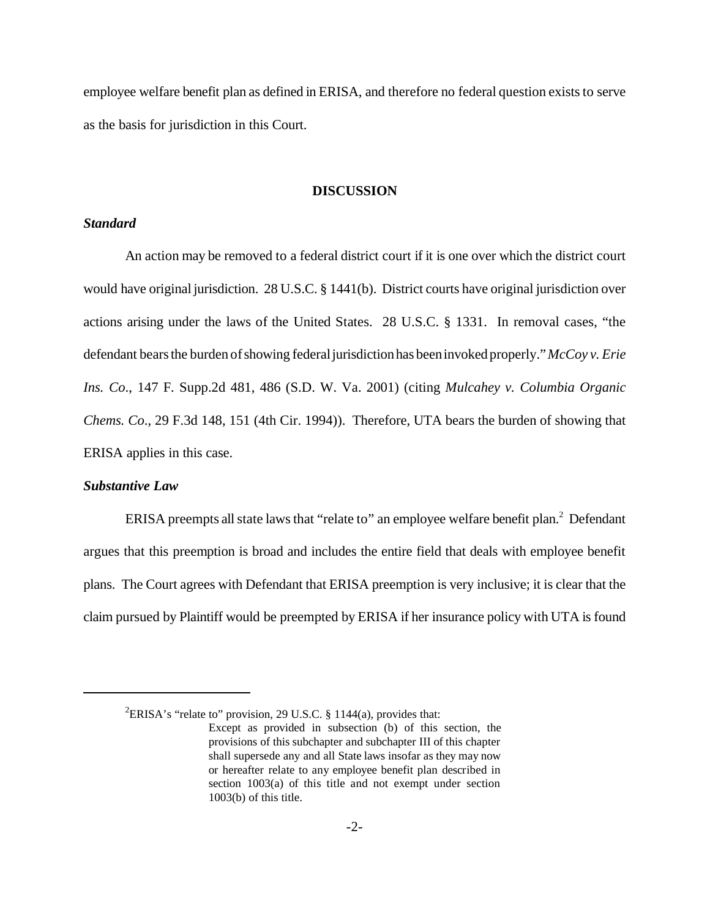employee welfare benefit plan as defined in ERISA, and therefore no federal question exists to serve as the basis for jurisdiction in this Court.

# **DISCUSSION**

### *Standard*

An action may be removed to a federal district court if it is one over which the district court would have original jurisdiction. 28 U.S.C. § 1441(b). District courts have original jurisdiction over actions arising under the laws of the United States. 28 U.S.C. § 1331. In removal cases, "the defendant bearsthe burden ofshowing federaljurisdictionhas beeninvoked properly."*McCoy v. Erie Ins. Co*., 147 F. Supp.2d 481, 486 (S.D. W. Va. 2001) (citing *Mulcahey v. Columbia Organic Chems. Co*., 29 F.3d 148, 151 (4th Cir. 1994)). Therefore, UTA bears the burden of showing that ERISA applies in this case.

### *Substantive Law*

ERISA preempts all state laws that "relate to" an employee welfare benefit plan.<sup>2</sup> Defendant argues that this preemption is broad and includes the entire field that deals with employee benefit plans. The Court agrees with Defendant that ERISA preemption is very inclusive; it is clear that the claim pursued by Plaintiff would be preempted by ERISA if her insurance policy with UTA is found

<sup>&</sup>lt;sup>2</sup>ERISA's "relate to" provision, 29 U.S.C. § 1144(a), provides that:

Except as provided in subsection (b) of this section, the provisions of this subchapter and subchapter III of this chapter shall supersede any and all State laws insofar as they may now or hereafter relate to any employee benefit plan described in section 1003(a) of this title and not exempt under section 1003(b) of this title.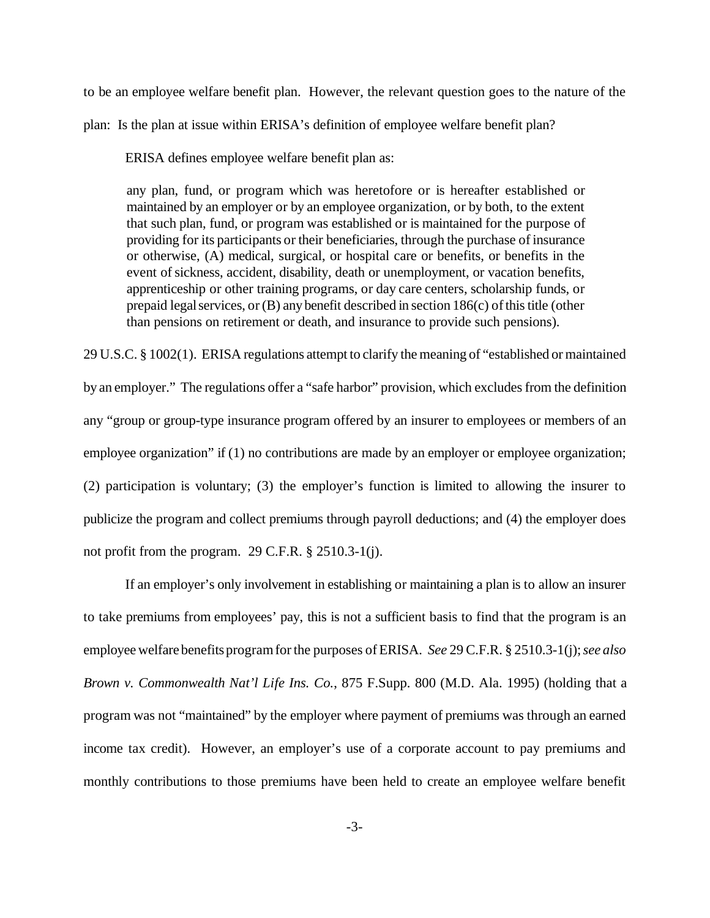to be an employee welfare benefit plan. However, the relevant question goes to the nature of the plan: Is the plan at issue within ERISA's definition of employee welfare benefit plan?

ERISA defines employee welfare benefit plan as:

any plan, fund, or program which was heretofore or is hereafter established or maintained by an employer or by an employee organization, or by both, to the extent that such plan, fund, or program was established or is maintained for the purpose of providing for its participants or their beneficiaries, through the purchase of insurance or otherwise, (A) medical, surgical, or hospital care or benefits, or benefits in the event of sickness, accident, disability, death or unemployment, or vacation benefits, apprenticeship or other training programs, or day care centers, scholarship funds, or prepaid legal services, or  $(B)$  any benefit described in section 186 $(c)$  of this title (other than pensions on retirement or death, and insurance to provide such pensions).

29 U.S.C. § 1002(1). ERISA regulations attempt to clarify the meaning of "established or maintained by an employer." The regulations offer a "safe harbor" provision, which excludes from the definition any "group or group-type insurance program offered by an insurer to employees or members of an employee organization" if (1) no contributions are made by an employer or employee organization; (2) participation is voluntary; (3) the employer's function is limited to allowing the insurer to publicize the program and collect premiums through payroll deductions; and (4) the employer does not profit from the program. 29 C.F.R. § 2510.3-1(j).

If an employer's only involvement in establishing or maintaining a plan is to allow an insurer to take premiums from employees' pay, this is not a sufficient basis to find that the program is an employee welfare benefitsprogramforthe purposes ofERISA. *See* 29 C.F.R. § 2510.3-1(j);*see also Brown v. Commonwealth Nat'l Life Ins. Co.*, 875 F.Supp. 800 (M.D. Ala. 1995) (holding that a program was not "maintained" by the employer where payment of premiums was through an earned income tax credit). However, an employer's use of a corporate account to pay premiums and monthly contributions to those premiums have been held to create an employee welfare benefit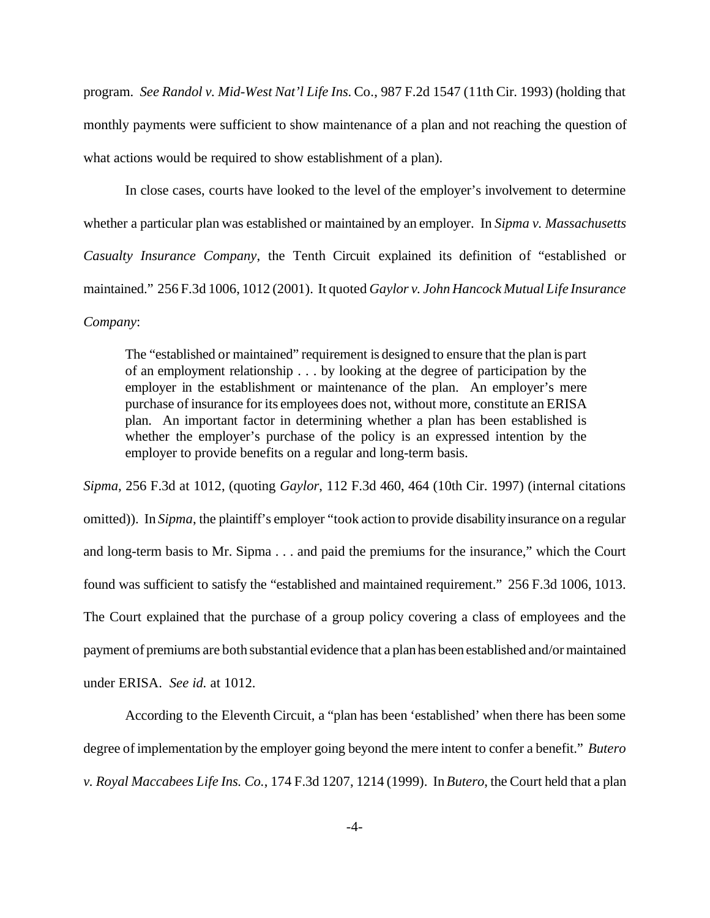program. *See Randol v. Mid-West Nat'l Life Ins.* Co., 987 F.2d 1547 (11th Cir. 1993) (holding that monthly payments were sufficient to show maintenance of a plan and not reaching the question of what actions would be required to show establishment of a plan).

In close cases, courts have looked to the level of the employer's involvement to determine whether a particular plan was established or maintained by an employer. In *Sipma v. Massachusetts Casualty Insurance Company*, the Tenth Circuit explained its definition of "established or maintained." 256 F.3d 1006, 1012 (2001). It quoted *Gaylor v. John Hancock Mutual Life Insurance Company*:

The "established or maintained" requirement is designed to ensure that the plan is part of an employment relationship . . . by looking at the degree of participation by the employer in the establishment or maintenance of the plan. An employer's mere purchase of insurance for its employees does not, without more, constitute an ERISA plan. An important factor in determining whether a plan has been established is whether the employer's purchase of the policy is an expressed intention by the employer to provide benefits on a regular and long-term basis.

*Sipma*, 256 F.3d at 1012, (quoting *Gaylor*, 112 F.3d 460, 464 (10th Cir. 1997) (internal citations omitted)). In *Sipma*, the plaintiff's employer "took action to provide disability insurance on a regular and long-term basis to Mr. Sipma . . . and paid the premiums for the insurance," which the Court found was sufficient to satisfy the "established and maintained requirement." 256 F.3d 1006, 1013. The Court explained that the purchase of a group policy covering a class of employees and the payment of premiums are both substantial evidence that a plan has been established and/ormaintained under ERISA. *See id.* at 1012.

According to the Eleventh Circuit, a "plan has been 'established' when there has been some degree ofimplementation by the employer going beyond the mere intent to confer a benefit." *Butero v. Royal Maccabees Life Ins. Co.*, 174 F.3d 1207, 1214 (1999). In *Butero*, the Court held that a plan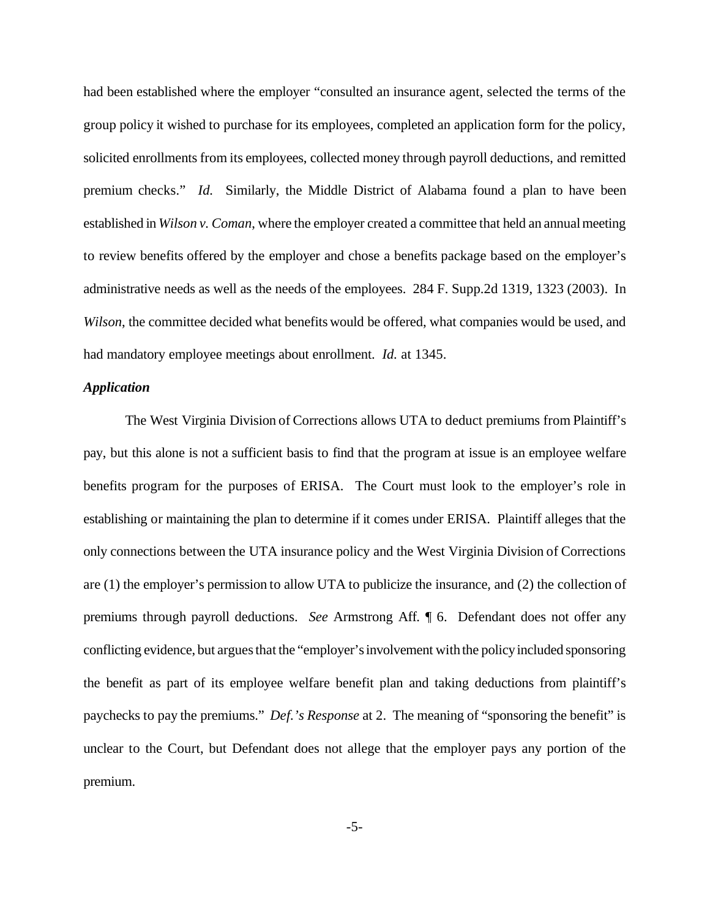had been established where the employer "consulted an insurance agent, selected the terms of the group policy it wished to purchase for its employees, completed an application form for the policy, solicited enrollments from its employees, collected money through payroll deductions, and remitted premium checks." *Id.* Similarly, the Middle District of Alabama found a plan to have been established in *Wilson v. Coman*, where the employer created a committee that held an annualmeeting to review benefits offered by the employer and chose a benefits package based on the employer's administrative needs as well as the needs of the employees. 284 F. Supp.2d 1319, 1323 (2003). In *Wilson*, the committee decided what benefits would be offered, what companies would be used, and had mandatory employee meetings about enrollment. *Id.* at 1345.

### *Application*

The West Virginia Division of Corrections allows UTA to deduct premiums from Plaintiff's pay, but this alone is not a sufficient basis to find that the program at issue is an employee welfare benefits program for the purposes of ERISA. The Court must look to the employer's role in establishing or maintaining the plan to determine if it comes under ERISA. Plaintiff alleges that the only connections between the UTA insurance policy and the West Virginia Division of Corrections are (1) the employer's permission to allow UTA to publicize the insurance, and (2) the collection of premiums through payroll deductions. *See* Armstrong Aff. ¶ 6. Defendant does not offer any conflicting evidence, but argues that the "employer's involvement with the policy included sponsoring the benefit as part of its employee welfare benefit plan and taking deductions from plaintiff's paychecks to pay the premiums." *Def.'s Response* at 2. The meaning of "sponsoring the benefit" is unclear to the Court, but Defendant does not allege that the employer pays any portion of the premium.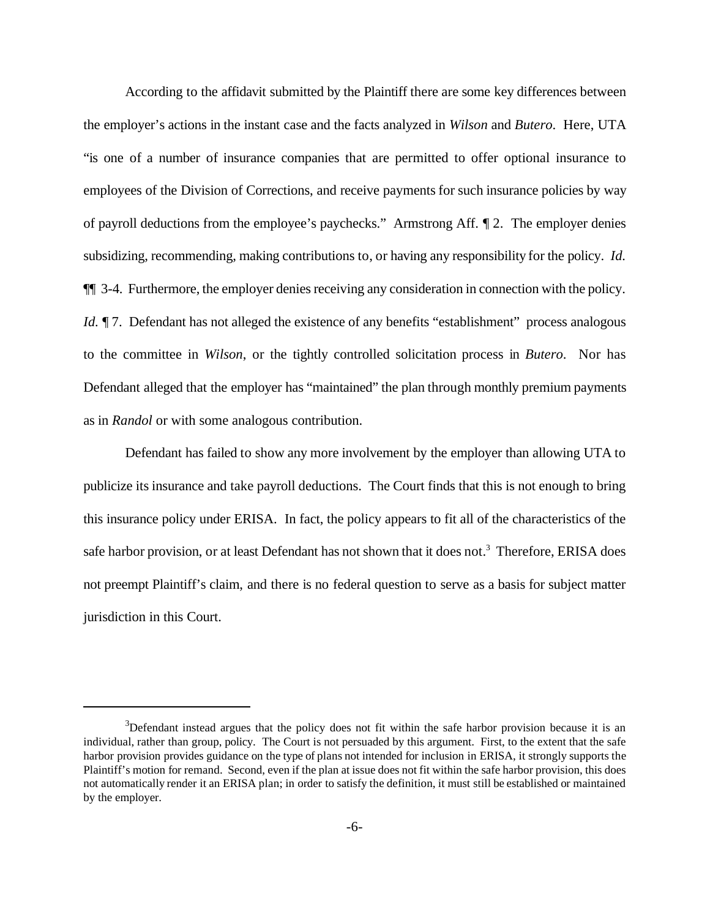According to the affidavit submitted by the Plaintiff there are some key differences between the employer's actions in the instant case and the facts analyzed in *Wilson* and *Butero*. Here, UTA "is one of a number of insurance companies that are permitted to offer optional insurance to employees of the Division of Corrections, and receive payments for such insurance policies by way of payroll deductions from the employee's paychecks." Armstrong Aff. ¶ 2. The employer denies subsidizing, recommending, making contributions to, or having any responsibility for the policy. *Id.* ¶¶ 3-4. Furthermore, the employer denies receiving any consideration in connection with the policy. *Id.*  $\P$  7. Defendant has not alleged the existence of any benefits "establishment" process analogous to the committee in *Wilson*, or the tightly controlled solicitation process in *Butero*. Nor has Defendant alleged that the employer has "maintained" the plan through monthly premium payments as in *Randol* or with some analogous contribution.

Defendant has failed to show any more involvement by the employer than allowing UTA to publicize its insurance and take payroll deductions. The Court finds that this is not enough to bring this insurance policy under ERISA. In fact, the policy appears to fit all of the characteristics of the safe harbor provision, or at least Defendant has not shown that it does not.<sup>3</sup> Therefore, ERISA does not preempt Plaintiff's claim, and there is no federal question to serve as a basis for subject matter jurisdiction in this Court.

 $3$ Defendant instead argues that the policy does not fit within the safe harbor provision because it is an individual, rather than group, policy. The Court is not persuaded by this argument. First, to the extent that the safe harbor provision provides guidance on the type of plans not intended for inclusion in ERISA, it strongly supports the Plaintiff's motion for remand. Second, even if the plan at issue does not fit within the safe harbor provision, this does not automatically render it an ERISA plan; in order to satisfy the definition, it must still be established or maintained by the employer.